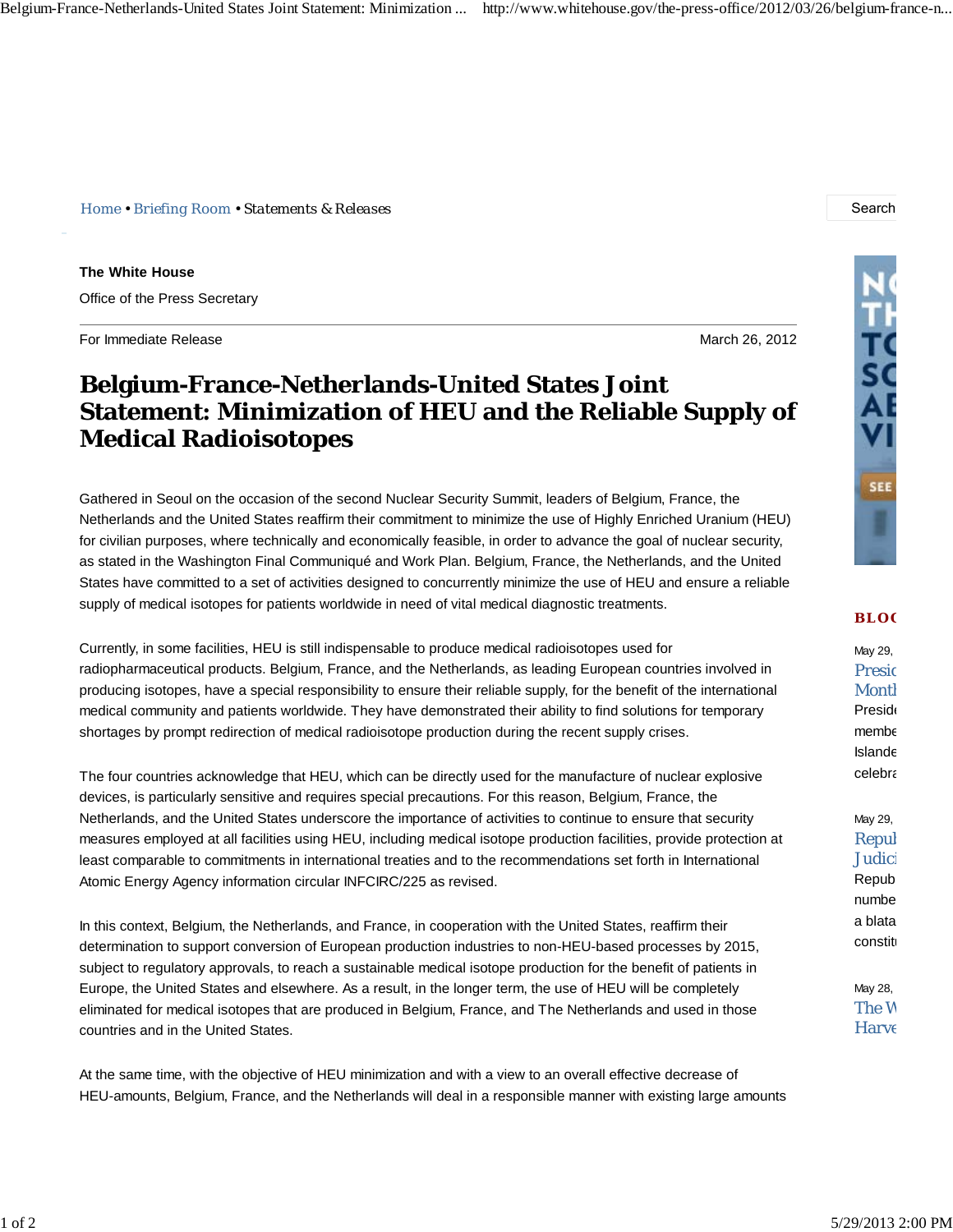*Home • Briefing Room • Statements & Releases* Search Search Search Search Search Search Search Search Search Search Search Search Search Search Search Search Search Search Search Search Search Search Search Search Search

**The White House** Office of the Press Secretary

For Immediate Release March 26, 2012

## **Belgium-France-Netherlands-United States Joint Statement: Minimization of HEU and the Reliable Supply of Medical Radioisotopes**

Gathered in Seoul on the occasion of the second Nuclear Security Summit, leaders of Belgium, France, the Netherlands and the United States reaffirm their commitment to minimize the use of Highly Enriched Uranium (HEU) for civilian purposes, where technically and economically feasible, in order to advance the goal of nuclear security, as stated in the Washington Final Communiqué and Work Plan. Belgium, France, the Netherlands, and the United States have committed to a set of activities designed to concurrently minimize the use of HEU and ensure a reliable supply of medical isotopes for patients worldwide in need of vital medical diagnostic treatments.

Currently, in some facilities, HEU is still indispensable to produce medical radioisotopes used for radiopharmaceutical products. Belgium, France, and the Netherlands, as leading European countries involved in producing isotopes, have a special responsibility to ensure their reliable supply, for the benefit of the international medical community and patients worldwide. They have demonstrated their ability to find solutions for temporary shortages by prompt redirection of medical radioisotope production during the recent supply crises.

The four countries acknowledge that HEU, which can be directly used for the manufacture of nuclear explosive devices, is particularly sensitive and requires special precautions. For this reason, Belgium, France, the Netherlands, and the United States underscore the importance of activities to continue to ensure that security measures employed at all facilities using HEU, including medical isotope production facilities, provide protection at least comparable to commitments in international treaties and to the recommendations set forth in International Atomic Energy Agency information circular INFCIRC/225 as revised.

In this context, Belgium, the Netherlands, and France, in cooperation with the United States, reaffirm their determination to support conversion of European production industries to non-HEU-based processes by 2015, subject to regulatory approvals, to reach a sustainable medical isotope production for the benefit of patients in Europe, the United States and elsewhere. As a result, in the longer term, the use of HEU will be completely eliminated for medical isotopes that are produced in Belgium, France, and The Netherlands and used in those countries and in the United States.

At the same time, with the objective of HEU minimization and with a view to an overall effective decrease of HEU-amounts, Belgium, France, and the Netherlands will deal in a responsible manner with existing large amounts



## **BLO G**

May 29, Presid **Month Preside** membe Islande celebra

May 29, Repul Judici Repub numbe a blata constit

May 28, The W Harve